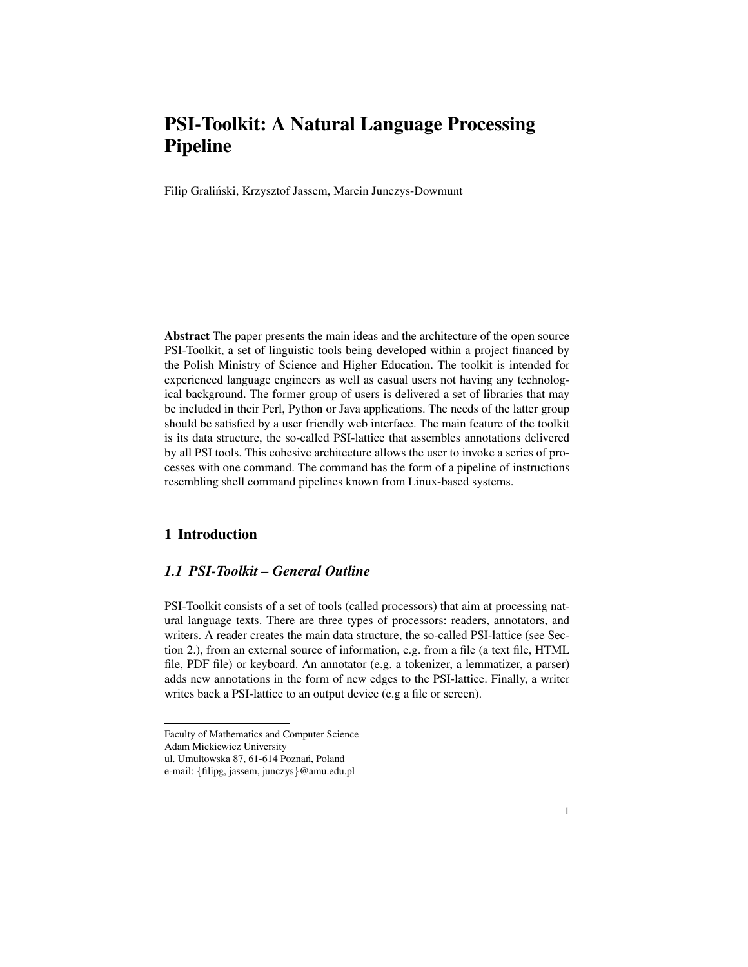# PSI-Toolkit: A Natural Language Processing Pipeline

Filip Gralinski, Krzysztof Jassem, Marcin Junczys-Dowmunt ´

Abstract The paper presents the main ideas and the architecture of the open source PSI-Toolkit, a set of linguistic tools being developed within a project financed by the Polish Ministry of Science and Higher Education. The toolkit is intended for experienced language engineers as well as casual users not having any technological background. The former group of users is delivered a set of libraries that may be included in their Perl, Python or Java applications. The needs of the latter group should be satisfied by a user friendly web interface. The main feature of the toolkit is its data structure, the so-called PSI-lattice that assembles annotations delivered by all PSI tools. This cohesive architecture allows the user to invoke a series of processes with one command. The command has the form of a pipeline of instructions resembling shell command pipelines known from Linux-based systems.

## 1 Introduction

# *1.1 PSI-Toolkit – General Outline*

PSI-Toolkit consists of a set of tools (called processors) that aim at processing natural language texts. There are three types of processors: readers, annotators, and writers. A reader creates the main data structure, the so-called PSI-lattice (see Section 2.), from an external source of information, e.g. from a file (a text file, HTML file, PDF file) or keyboard. An annotator (e.g. a tokenizer, a lemmatizer, a parser) adds new annotations in the form of new edges to the PSI-lattice. Finally, a writer writes back a PSI-lattice to an output device (e.g a file or screen).

Faculty of Mathematics and Computer Science

Adam Mickiewicz University

ul. Umultowska 87, 61-614 Poznań, Poland

e-mail: {filipg, jassem, junczys}@amu.edu.pl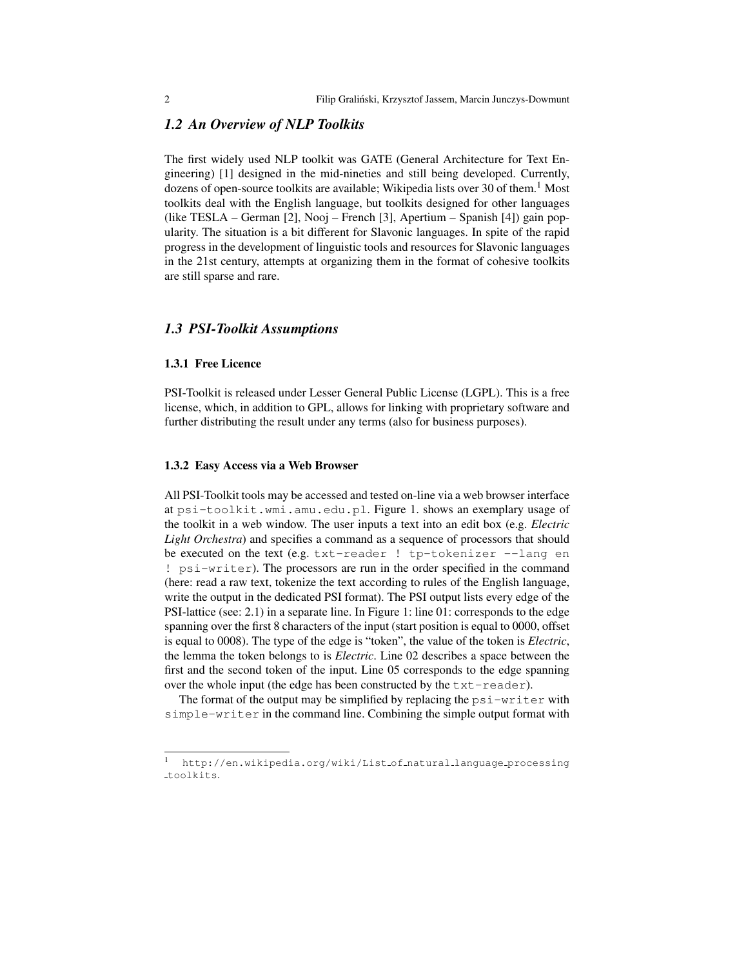#### *1.2 An Overview of NLP Toolkits*

The first widely used NLP toolkit was GATE (General Architecture for Text Engineering) [1] designed in the mid-nineties and still being developed. Currently, dozens of open-source toolkits are available; Wikipedia lists over 30 of them.<sup>1</sup> Most toolkits deal with the English language, but toolkits designed for other languages (like TESLA – German [2], Nooj – French [3], Apertium – Spanish [4]) gain popularity. The situation is a bit different for Slavonic languages. In spite of the rapid progress in the development of linguistic tools and resources for Slavonic languages in the 21st century, attempts at organizing them in the format of cohesive toolkits are still sparse and rare.

## *1.3 PSI-Toolkit Assumptions*

#### 1.3.1 Free Licence

PSI-Toolkit is released under Lesser General Public License (LGPL). This is a free license, which, in addition to GPL, allows for linking with proprietary software and further distributing the result under any terms (also for business purposes).

#### 1.3.2 Easy Access via a Web Browser

All PSI-Toolkit tools may be accessed and tested on-line via a web browser interface at psi-toolkit.wmi.amu.edu.pl. Figure 1. shows an exemplary usage of the toolkit in a web window. The user inputs a text into an edit box (e.g. *Electric Light Orchestra*) and specifies a command as a sequence of processors that should be executed on the text (e.g.  $txt -t = x + y - t = 0$ )  $-1$  and  $e$ n ! psi-writer). The processors are run in the order specified in the command (here: read a raw text, tokenize the text according to rules of the English language, write the output in the dedicated PSI format). The PSI output lists every edge of the PSI-lattice (see: 2.1) in a separate line. In Figure 1: line 01: corresponds to the edge spanning over the first 8 characters of the input (start position is equal to 0000, offset is equal to 0008). The type of the edge is "token", the value of the token is *Electric*, the lemma the token belongs to is *Electric*. Line 02 describes a space between the first and the second token of the input. Line 05 corresponds to the edge spanning over the whole input (the edge has been constructed by the txt-reader).

The format of the output may be simplified by replacing the psi-writer with simple-writer in the command line. Combining the simple output format with

<sup>1</sup> http://en.wikipedia.org/wiki/List of natural language processing toolkits.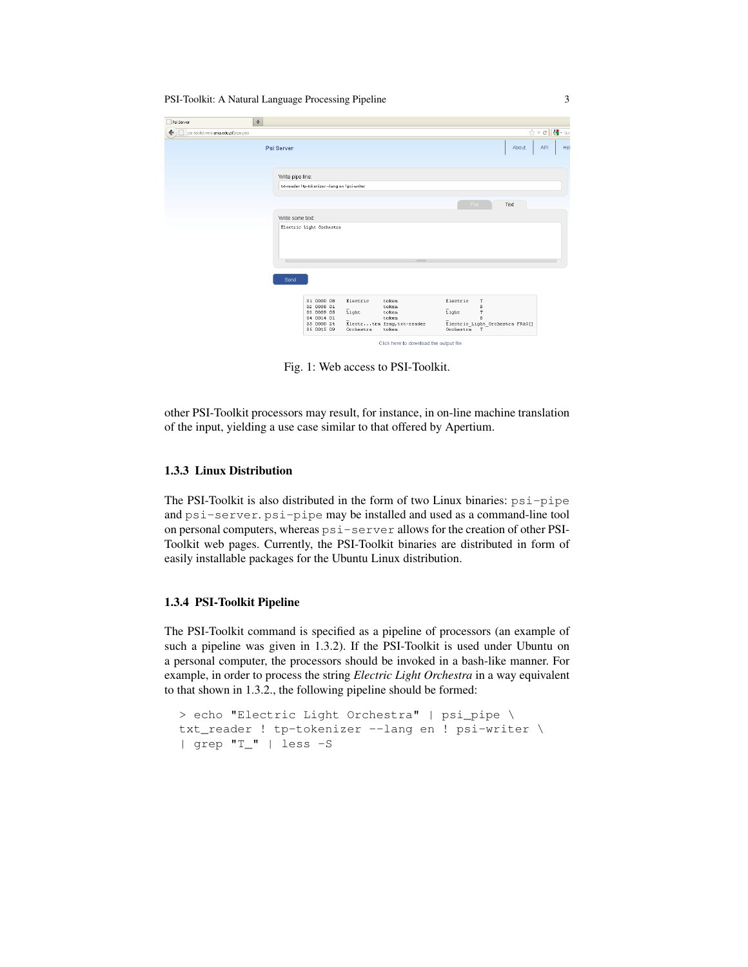PSI-Toolkit: A Natural Language Processing Pipeline 3

| ← D psi-toolkit.wmi.amu.edu.pl/pipe.psis | $\Rightarrow$ $\forall$ $\in$                                                                           | $\frac{1}{2}$ of $\frac{1}{2}$ |
|------------------------------------------|---------------------------------------------------------------------------------------------------------|--------------------------------|
|                                          | <b>API</b><br>Psi Server<br>About                                                                       | Hel                            |
|                                          |                                                                                                         |                                |
|                                          | Write pipe line:                                                                                        |                                |
|                                          | td-reader ! tp-tokenizer-lang en ! psi-writer                                                           |                                |
|                                          | Text<br>File                                                                                            |                                |
|                                          | Write some text:                                                                                        |                                |
|                                          |                                                                                                         |                                |
|                                          | Electric Light Orchestra                                                                                |                                |
|                                          |                                                                                                         |                                |
|                                          |                                                                                                         |                                |
|                                          |                                                                                                         |                                |
|                                          |                                                                                                         |                                |
|                                          | Send                                                                                                    |                                |
|                                          |                                                                                                         |                                |
|                                          | 01 0000 08<br>Electric<br>token<br>Electric<br>т                                                        |                                |
|                                          | 02 0008 01<br>token<br>B<br>$\mathbb T$<br>Light<br>Light<br>03 0009 05<br>token                        |                                |
|                                          | B<br>04 0014 01<br>token<br>05 0000 24<br>Electrtra frag, txt-reader<br>Electric Light Orchestra FRAG[] |                                |

Fig. 1: Web access to PSI-Toolkit.

other PSI-Toolkit processors may result, for instance, in on-line machine translation of the input, yielding a use case similar to that offered by Apertium.

## 1.3.3 Linux Distribution

The PSI-Toolkit is also distributed in the form of two Linux binaries: psi-pipe and psi-server. psi-pipe may be installed and used as a command-line tool on personal computers, whereas psi-server allows for the creation of other PSI-Toolkit web pages. Currently, the PSI-Toolkit binaries are distributed in form of easily installable packages for the Ubuntu Linux distribution.

#### 1.3.4 PSI-Toolkit Pipeline

The PSI-Toolkit command is specified as a pipeline of processors (an example of such a pipeline was given in 1.3.2). If the PSI-Toolkit is used under Ubuntu on a personal computer, the processors should be invoked in a bash-like manner. For example, in order to process the string *Electric Light Orchestra* in a way equivalent to that shown in 1.3.2., the following pipeline should be formed:

```
> echo "Electric Light Orchestra" | psi_pipe \
txt_reader ! tp-tokenizer --lang en ! psi-writer \
| grep "T_" | less -S
```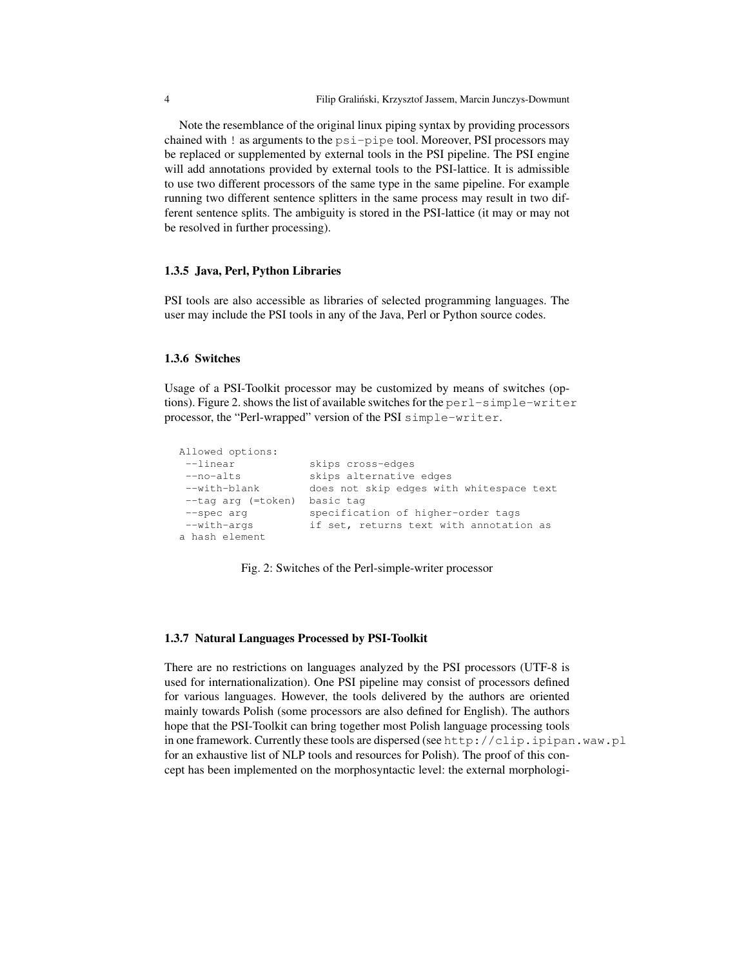Note the resemblance of the original linux piping syntax by providing processors chained with ! as arguments to the psi-pipe tool. Moreover, PSI processors may be replaced or supplemented by external tools in the PSI pipeline. The PSI engine will add annotations provided by external tools to the PSI-lattice. It is admissible to use two different processors of the same type in the same pipeline. For example running two different sentence splitters in the same process may result in two different sentence splits. The ambiguity is stored in the PSI-lattice (it may or may not be resolved in further processing).

## 1.3.5 Java, Perl, Python Libraries

PSI tools are also accessible as libraries of selected programming languages. The user may include the PSI tools in any of the Java, Perl or Python source codes.

#### 1.3.6 Switches

Usage of a PSI-Toolkit processor may be customized by means of switches (options). Figure 2. shows the list of available switches for the perl-simple-writer processor, the "Perl-wrapped" version of the PSI simple-writer.

```
Allowed options:
 --linear skips cross-edges
 --no-alts skips alternative edges
 --with-blank does not skip edges with whitespace text
--tag arg (=token) basic tag
--spec arg specification of higher-order tags
 --with-args if set, returns text with annotation as
a hash element
```
Fig. 2: Switches of the Perl-simple-writer processor

#### 1.3.7 Natural Languages Processed by PSI-Toolkit

There are no restrictions on languages analyzed by the PSI processors (UTF-8 is used for internationalization). One PSI pipeline may consist of processors defined for various languages. However, the tools delivered by the authors are oriented mainly towards Polish (some processors are also defined for English). The authors hope that the PSI-Toolkit can bring together most Polish language processing tools in one framework. Currently these tools are dispersed (see http://clip.ipipan.waw.pl for an exhaustive list of NLP tools and resources for Polish). The proof of this concept has been implemented on the morphosyntactic level: the external morphologi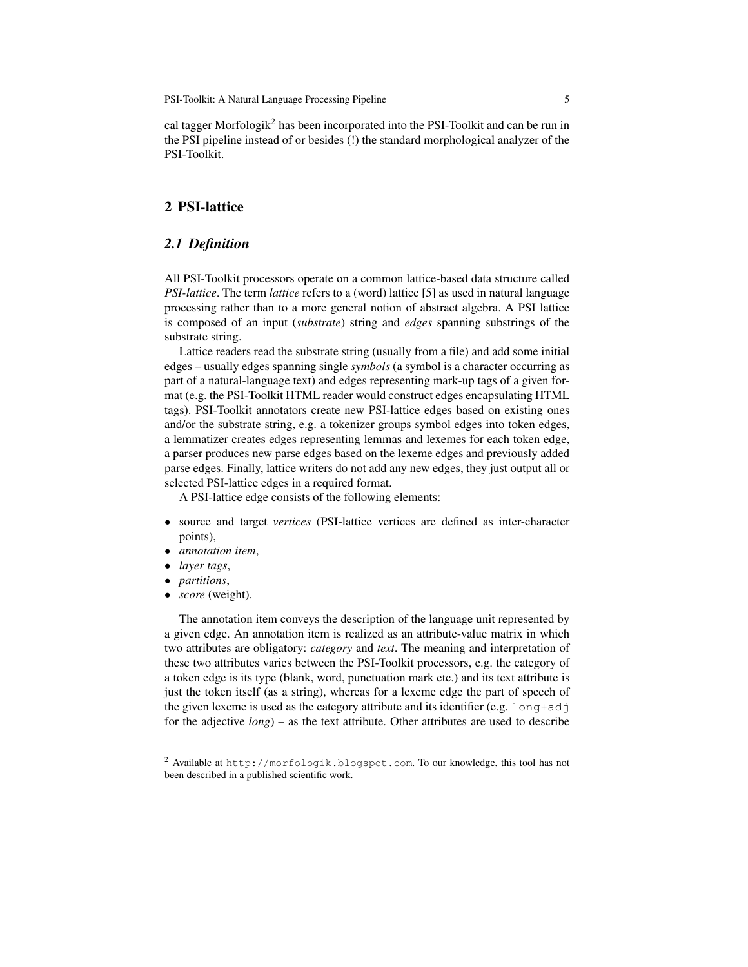PSI-Toolkit: A Natural Language Processing Pipeline 5

cal tagger Morfologik<sup>2</sup> has been incorporated into the PSI-Toolkit and can be run in the PSI pipeline instead of or besides (!) the standard morphological analyzer of the PSI-Toolkit.

# 2 PSI-lattice

# *2.1 Definition*

All PSI-Toolkit processors operate on a common lattice-based data structure called *PSI-lattice*. The term *lattice* refers to a (word) lattice [5] as used in natural language processing rather than to a more general notion of abstract algebra. A PSI lattice is composed of an input (*substrate*) string and *edges* spanning substrings of the substrate string.

Lattice readers read the substrate string (usually from a file) and add some initial edges – usually edges spanning single *symbols* (a symbol is a character occurring as part of a natural-language text) and edges representing mark-up tags of a given format (e.g. the PSI-Toolkit HTML reader would construct edges encapsulating HTML tags). PSI-Toolkit annotators create new PSI-lattice edges based on existing ones and/or the substrate string, e.g. a tokenizer groups symbol edges into token edges, a lemmatizer creates edges representing lemmas and lexemes for each token edge, a parser produces new parse edges based on the lexeme edges and previously added parse edges. Finally, lattice writers do not add any new edges, they just output all or selected PSI-lattice edges in a required format.

A PSI-lattice edge consists of the following elements:

- source and target *vertices* (PSI-lattice vertices are defined as inter-character points),
- *annotation item*,
- *layer tags*,
- *partitions*,
- *score* (weight).

The annotation item conveys the description of the language unit represented by a given edge. An annotation item is realized as an attribute-value matrix in which two attributes are obligatory: *category* and *text*. The meaning and interpretation of these two attributes varies between the PSI-Toolkit processors, e.g. the category of a token edge is its type (blank, word, punctuation mark etc.) and its text attribute is just the token itself (as a string), whereas for a lexeme edge the part of speech of the given lexeme is used as the category attribute and its identifier (e.g. long+adj for the adjective *long*) – as the text attribute. Other attributes are used to describe

<sup>2</sup> Available at http://morfologik.blogspot.com. To our knowledge, this tool has not been described in a published scientific work.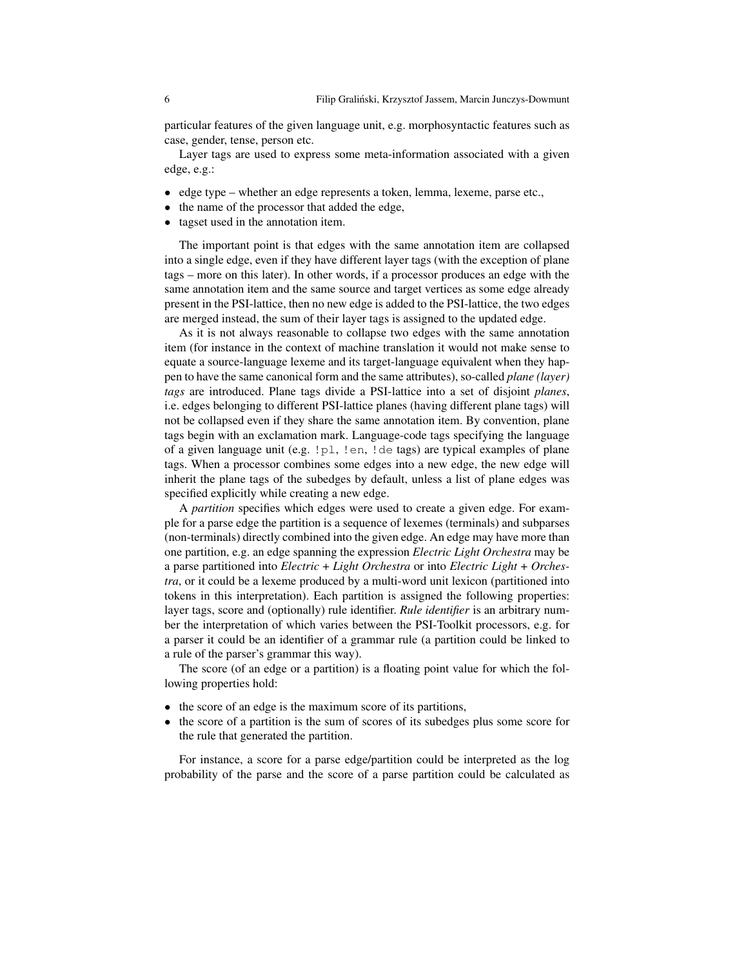particular features of the given language unit, e.g. morphosyntactic features such as case, gender, tense, person etc.

Layer tags are used to express some meta-information associated with a given edge, e.g.:

- edge type whether an edge represents a token, lemma, lexeme, parse etc.,
- the name of the processor that added the edge,
- tagset used in the annotation item.

The important point is that edges with the same annotation item are collapsed into a single edge, even if they have different layer tags (with the exception of plane tags – more on this later). In other words, if a processor produces an edge with the same annotation item and the same source and target vertices as some edge already present in the PSI-lattice, then no new edge is added to the PSI-lattice, the two edges are merged instead, the sum of their layer tags is assigned to the updated edge.

As it is not always reasonable to collapse two edges with the same annotation item (for instance in the context of machine translation it would not make sense to equate a source-language lexeme and its target-language equivalent when they happen to have the same canonical form and the same attributes), so-called *plane (layer) tags* are introduced. Plane tags divide a PSI-lattice into a set of disjoint *planes*, i.e. edges belonging to different PSI-lattice planes (having different plane tags) will not be collapsed even if they share the same annotation item. By convention, plane tags begin with an exclamation mark. Language-code tags specifying the language of a given language unit (e.g. !pl, !en, !de tags) are typical examples of plane tags. When a processor combines some edges into a new edge, the new edge will inherit the plane tags of the subedges by default, unless a list of plane edges was specified explicitly while creating a new edge.

A *partition* specifies which edges were used to create a given edge. For example for a parse edge the partition is a sequence of lexemes (terminals) and subparses (non-terminals) directly combined into the given edge. An edge may have more than one partition, e.g. an edge spanning the expression *Electric Light Orchestra* may be a parse partitioned into *Electric* + *Light Orchestra* or into *Electric Light* + *Orchestra*, or it could be a lexeme produced by a multi-word unit lexicon (partitioned into tokens in this interpretation). Each partition is assigned the following properties: layer tags, score and (optionally) rule identifier. *Rule identifier* is an arbitrary number the interpretation of which varies between the PSI-Toolkit processors, e.g. for a parser it could be an identifier of a grammar rule (a partition could be linked to a rule of the parser's grammar this way).

The score (of an edge or a partition) is a floating point value for which the following properties hold:

- the score of an edge is the maximum score of its partitions,
- the score of a partition is the sum of scores of its subedges plus some score for the rule that generated the partition.

For instance, a score for a parse edge/partition could be interpreted as the log probability of the parse and the score of a parse partition could be calculated as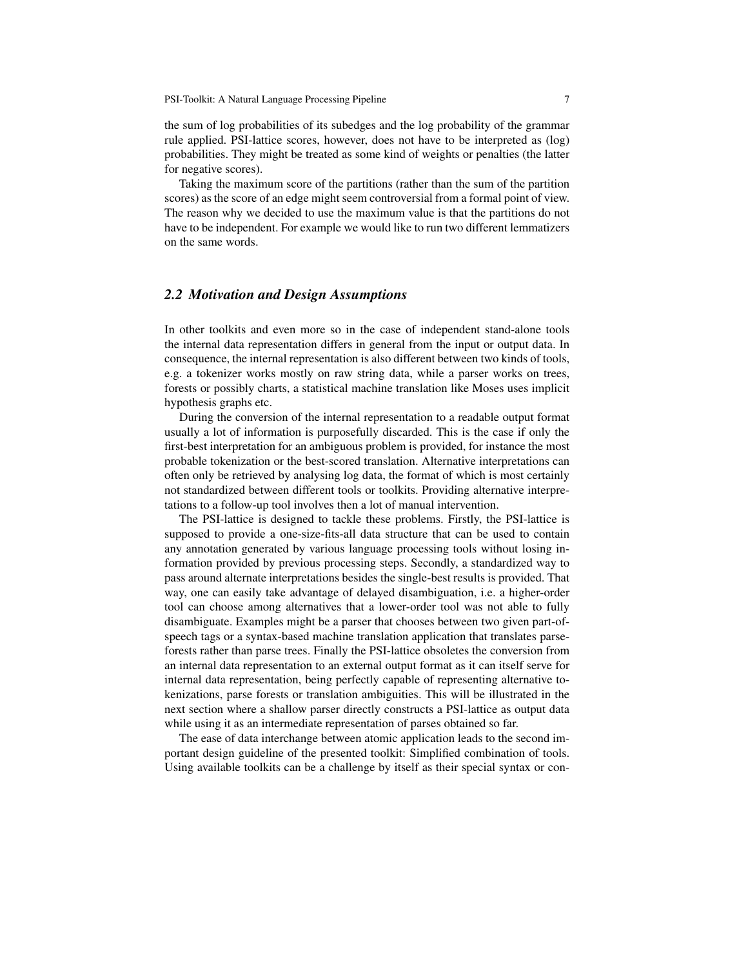the sum of log probabilities of its subedges and the log probability of the grammar rule applied. PSI-lattice scores, however, does not have to be interpreted as (log) probabilities. They might be treated as some kind of weights or penalties (the latter for negative scores).

Taking the maximum score of the partitions (rather than the sum of the partition scores) as the score of an edge might seem controversial from a formal point of view. The reason why we decided to use the maximum value is that the partitions do not have to be independent. For example we would like to run two different lemmatizers on the same words.

# *2.2 Motivation and Design Assumptions*

In other toolkits and even more so in the case of independent stand-alone tools the internal data representation differs in general from the input or output data. In consequence, the internal representation is also different between two kinds of tools, e.g. a tokenizer works mostly on raw string data, while a parser works on trees, forests or possibly charts, a statistical machine translation like Moses uses implicit hypothesis graphs etc.

During the conversion of the internal representation to a readable output format usually a lot of information is purposefully discarded. This is the case if only the first-best interpretation for an ambiguous problem is provided, for instance the most probable tokenization or the best-scored translation. Alternative interpretations can often only be retrieved by analysing log data, the format of which is most certainly not standardized between different tools or toolkits. Providing alternative interpretations to a follow-up tool involves then a lot of manual intervention.

The PSI-lattice is designed to tackle these problems. Firstly, the PSI-lattice is supposed to provide a one-size-fits-all data structure that can be used to contain any annotation generated by various language processing tools without losing information provided by previous processing steps. Secondly, a standardized way to pass around alternate interpretations besides the single-best results is provided. That way, one can easily take advantage of delayed disambiguation, i.e. a higher-order tool can choose among alternatives that a lower-order tool was not able to fully disambiguate. Examples might be a parser that chooses between two given part-ofspeech tags or a syntax-based machine translation application that translates parseforests rather than parse trees. Finally the PSI-lattice obsoletes the conversion from an internal data representation to an external output format as it can itself serve for internal data representation, being perfectly capable of representing alternative tokenizations, parse forests or translation ambiguities. This will be illustrated in the next section where a shallow parser directly constructs a PSI-lattice as output data while using it as an intermediate representation of parses obtained so far.

The ease of data interchange between atomic application leads to the second important design guideline of the presented toolkit: Simplified combination of tools. Using available toolkits can be a challenge by itself as their special syntax or con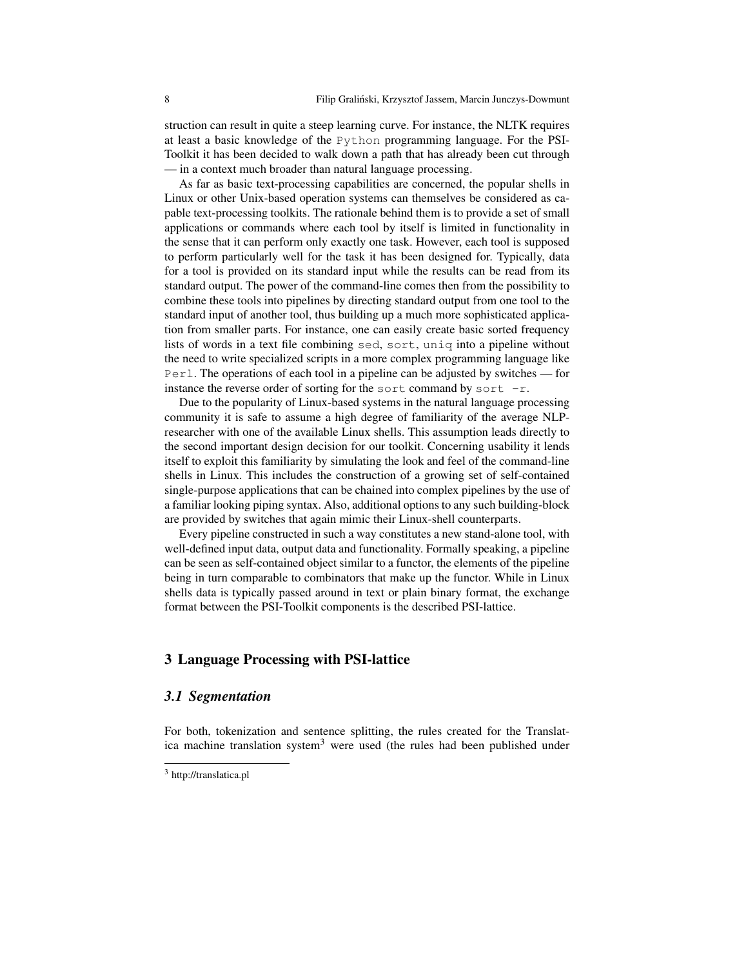struction can result in quite a steep learning curve. For instance, the NLTK requires at least a basic knowledge of the Python programming language. For the PSI-Toolkit it has been decided to walk down a path that has already been cut through — in a context much broader than natural language processing.

As far as basic text-processing capabilities are concerned, the popular shells in Linux or other Unix-based operation systems can themselves be considered as capable text-processing toolkits. The rationale behind them is to provide a set of small applications or commands where each tool by itself is limited in functionality in the sense that it can perform only exactly one task. However, each tool is supposed to perform particularly well for the task it has been designed for. Typically, data for a tool is provided on its standard input while the results can be read from its standard output. The power of the command-line comes then from the possibility to combine these tools into pipelines by directing standard output from one tool to the standard input of another tool, thus building up a much more sophisticated application from smaller parts. For instance, one can easily create basic sorted frequency lists of words in a text file combining sed, sort, uniq into a pipeline without the need to write specialized scripts in a more complex programming language like Perl. The operations of each tool in a pipeline can be adjusted by switches — for instance the reverse order of sorting for the sort command by sort  $-r$ .

Due to the popularity of Linux-based systems in the natural language processing community it is safe to assume a high degree of familiarity of the average NLPresearcher with one of the available Linux shells. This assumption leads directly to the second important design decision for our toolkit. Concerning usability it lends itself to exploit this familiarity by simulating the look and feel of the command-line shells in Linux. This includes the construction of a growing set of self-contained single-purpose applications that can be chained into complex pipelines by the use of a familiar looking piping syntax. Also, additional options to any such building-block are provided by switches that again mimic their Linux-shell counterparts.

Every pipeline constructed in such a way constitutes a new stand-alone tool, with well-defined input data, output data and functionality. Formally speaking, a pipeline can be seen as self-contained object similar to a functor, the elements of the pipeline being in turn comparable to combinators that make up the functor. While in Linux shells data is typically passed around in text or plain binary format, the exchange format between the PSI-Toolkit components is the described PSI-lattice.

# 3 Language Processing with PSI-lattice

#### *3.1 Segmentation*

For both, tokenization and sentence splitting, the rules created for the Translatica machine translation system $3$  were used (the rules had been published under

<sup>3</sup> http://translatica.pl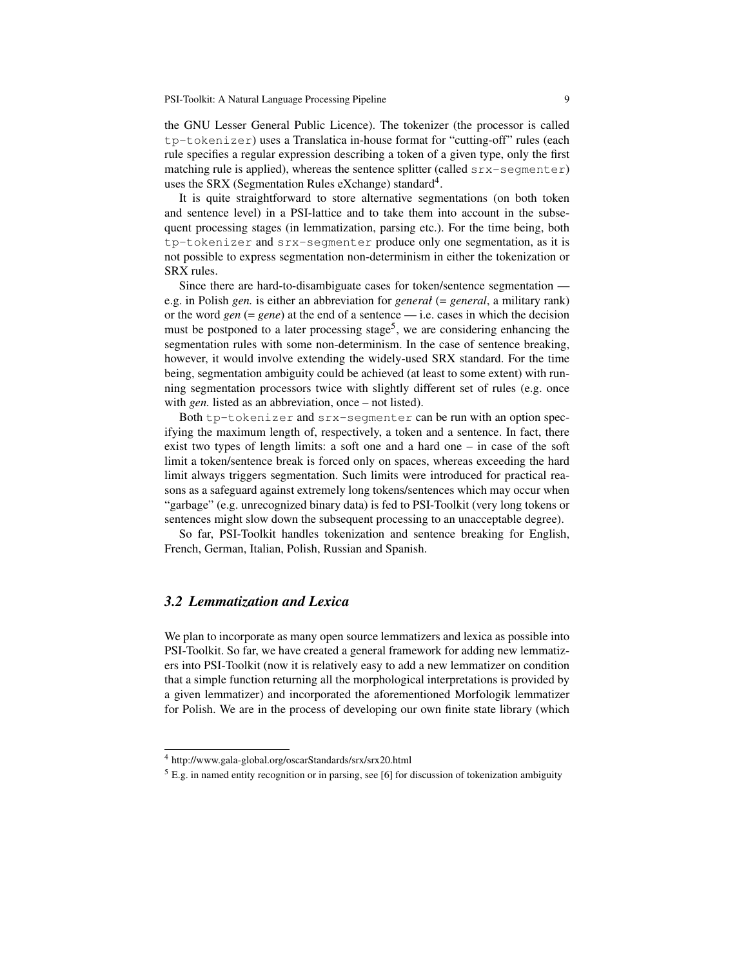PSI-Toolkit: A Natural Language Processing Pipeline 9

the GNU Lesser General Public Licence). The tokenizer (the processor is called tp-tokenizer) uses a Translatica in-house format for "cutting-off" rules (each rule specifies a regular expression describing a token of a given type, only the first matching rule is applied), whereas the sentence splitter (called srx-segmenter) uses the SRX (Segmentation Rules eXchange) standard<sup>4</sup>.

It is quite straightforward to store alternative segmentations (on both token and sentence level) in a PSI-lattice and to take them into account in the subsequent processing stages (in lemmatization, parsing etc.). For the time being, both tp-tokenizer and srx-segmenter produce only one segmentation, as it is not possible to express segmentation non-determinism in either the tokenization or SRX rules.

Since there are hard-to-disambiguate cases for token/sentence segmentation e.g. in Polish *gen.* is either an abbreviation for *generał* (= *general*, a military rank) or the word *gen* (= *gene*) at the end of a sentence — i.e. cases in which the decision must be postponed to a later processing stage<sup>5</sup>, we are considering enhancing the segmentation rules with some non-determinism. In the case of sentence breaking, however, it would involve extending the widely-used SRX standard. For the time being, segmentation ambiguity could be achieved (at least to some extent) with running segmentation processors twice with slightly different set of rules (e.g. once with *gen*. listed as an abbreviation, once – not listed).

Both tp-tokenizer and srx-segmenter can be run with an option specifying the maximum length of, respectively, a token and a sentence. In fact, there exist two types of length limits: a soft one and a hard one – in case of the soft limit a token/sentence break is forced only on spaces, whereas exceeding the hard limit always triggers segmentation. Such limits were introduced for practical reasons as a safeguard against extremely long tokens/sentences which may occur when "garbage" (e.g. unrecognized binary data) is fed to PSI-Toolkit (very long tokens or sentences might slow down the subsequent processing to an unacceptable degree).

So far, PSI-Toolkit handles tokenization and sentence breaking for English, French, German, Italian, Polish, Russian and Spanish.

# *3.2 Lemmatization and Lexica*

We plan to incorporate as many open source lemmatizers and lexica as possible into PSI-Toolkit. So far, we have created a general framework for adding new lemmatizers into PSI-Toolkit (now it is relatively easy to add a new lemmatizer on condition that a simple function returning all the morphological interpretations is provided by a given lemmatizer) and incorporated the aforementioned Morfologik lemmatizer for Polish. We are in the process of developing our own finite state library (which

<sup>4</sup> http://www.gala-global.org/oscarStandards/srx/srx20.html

 $<sup>5</sup>$  E.g. in named entity recognition or in parsing, see [6] for discussion of tokenization ambiguity</sup>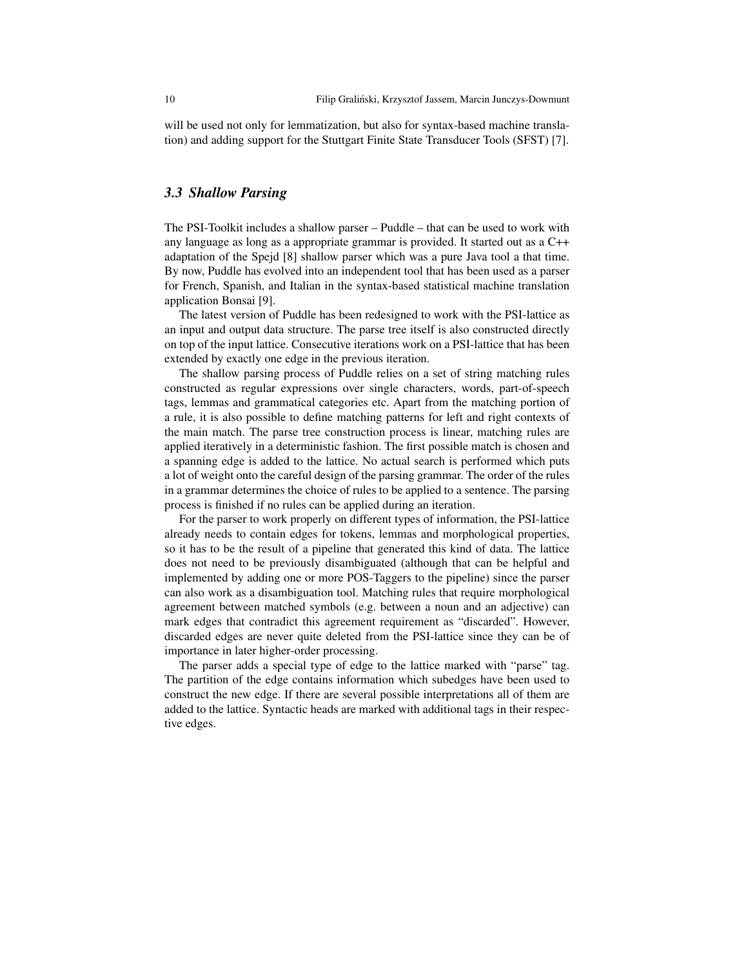will be used not only for lemmatization, but also for syntax-based machine translation) and adding support for the Stuttgart Finite State Transducer Tools (SFST) [7].

# *3.3 Shallow Parsing*

The PSI-Toolkit includes a shallow parser – Puddle – that can be used to work with any language as long as a appropriate grammar is provided. It started out as a C++ adaptation of the Spejd [8] shallow parser which was a pure Java tool a that time. By now, Puddle has evolved into an independent tool that has been used as a parser for French, Spanish, and Italian in the syntax-based statistical machine translation application Bonsai [9].

The latest version of Puddle has been redesigned to work with the PSI-lattice as an input and output data structure. The parse tree itself is also constructed directly on top of the input lattice. Consecutive iterations work on a PSI-lattice that has been extended by exactly one edge in the previous iteration.

The shallow parsing process of Puddle relies on a set of string matching rules constructed as regular expressions over single characters, words, part-of-speech tags, lemmas and grammatical categories etc. Apart from the matching portion of a rule, it is also possible to define matching patterns for left and right contexts of the main match. The parse tree construction process is linear, matching rules are applied iteratively in a deterministic fashion. The first possible match is chosen and a spanning edge is added to the lattice. No actual search is performed which puts a lot of weight onto the careful design of the parsing grammar. The order of the rules in a grammar determines the choice of rules to be applied to a sentence. The parsing process is finished if no rules can be applied during an iteration.

For the parser to work properly on different types of information, the PSI-lattice already needs to contain edges for tokens, lemmas and morphological properties, so it has to be the result of a pipeline that generated this kind of data. The lattice does not need to be previously disambiguated (although that can be helpful and implemented by adding one or more POS-Taggers to the pipeline) since the parser can also work as a disambiguation tool. Matching rules that require morphological agreement between matched symbols (e.g. between a noun and an adjective) can mark edges that contradict this agreement requirement as "discarded". However, discarded edges are never quite deleted from the PSI-lattice since they can be of importance in later higher-order processing.

The parser adds a special type of edge to the lattice marked with "parse" tag. The partition of the edge contains information which subedges have been used to construct the new edge. If there are several possible interpretations all of them are added to the lattice. Syntactic heads are marked with additional tags in their respective edges.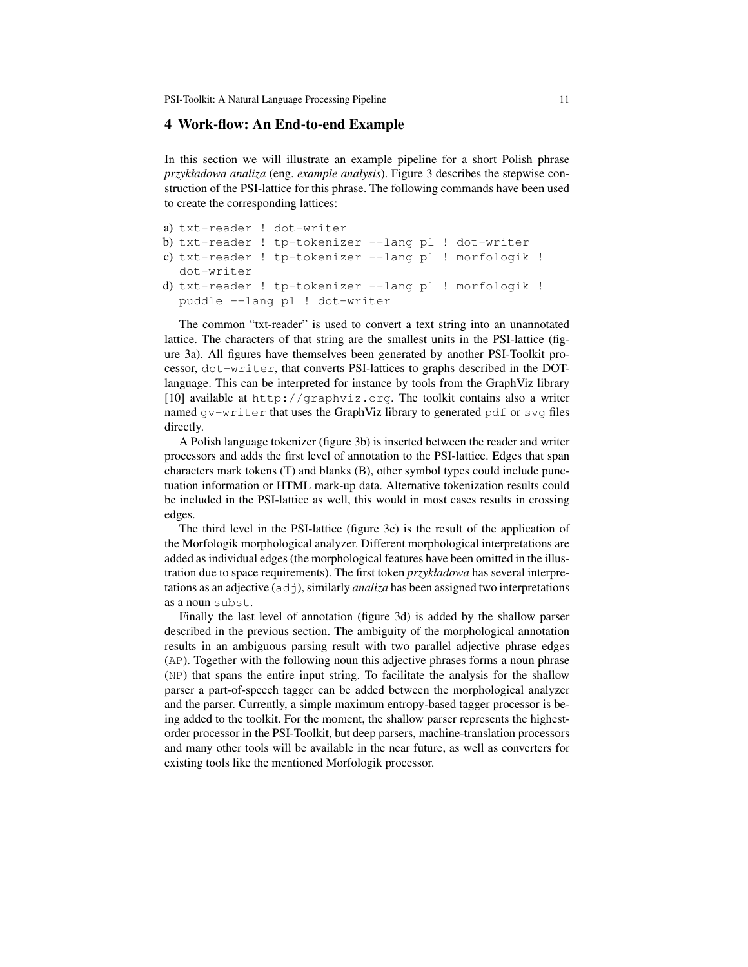#### 4 Work-flow: An End-to-end Example

In this section we will illustrate an example pipeline for a short Polish phrase *przykładowa analiza* (eng. *example analysis*). Figure 3 describes the stepwise construction of the PSI-lattice for this phrase. The following commands have been used to create the corresponding lattices:

```
a) txt-reader ! dot-writer
b) txt-reader ! tp-tokenizer --lang pl ! dot-writer
c) txt-reader ! tp-tokenizer --lang pl ! morfologik !
  dot-writer
d) txt-reader ! tp-tokenizer --lang pl ! morfologik !
  puddle --lang pl ! dot-writer
```
The common "txt-reader" is used to convert a text string into an unannotated lattice. The characters of that string are the smallest units in the PSI-lattice (figure 3a). All figures have themselves been generated by another PSI-Toolkit processor, dot-writer, that converts PSI-lattices to graphs described in the DOTlanguage. This can be interpreted for instance by tools from the GraphViz library [10] available at http://graphviz.org. The toolkit contains also a writer named  $qv-writer$  that uses the GraphViz library to generated pdf or svg files directly.

A Polish language tokenizer (figure 3b) is inserted between the reader and writer processors and adds the first level of annotation to the PSI-lattice. Edges that span characters mark tokens (T) and blanks (B), other symbol types could include punctuation information or HTML mark-up data. Alternative tokenization results could be included in the PSI-lattice as well, this would in most cases results in crossing edges.

The third level in the PSI-lattice (figure 3c) is the result of the application of the Morfologik morphological analyzer. Different morphological interpretations are added as individual edges (the morphological features have been omitted in the illustration due to space requirements). The first token *przykładowa* has several interpretations as an adjective  $(\text{ad}^{\dagger})$ , similarly *analiza* has been assigned two interpretations as a noun subst.

Finally the last level of annotation (figure 3d) is added by the shallow parser described in the previous section. The ambiguity of the morphological annotation results in an ambiguous parsing result with two parallel adjective phrase edges (AP). Together with the following noun this adjective phrases forms a noun phrase (NP) that spans the entire input string. To facilitate the analysis for the shallow parser a part-of-speech tagger can be added between the morphological analyzer and the parser. Currently, a simple maximum entropy-based tagger processor is being added to the toolkit. For the moment, the shallow parser represents the highestorder processor in the PSI-Toolkit, but deep parsers, machine-translation processors and many other tools will be available in the near future, as well as converters for existing tools like the mentioned Morfologik processor.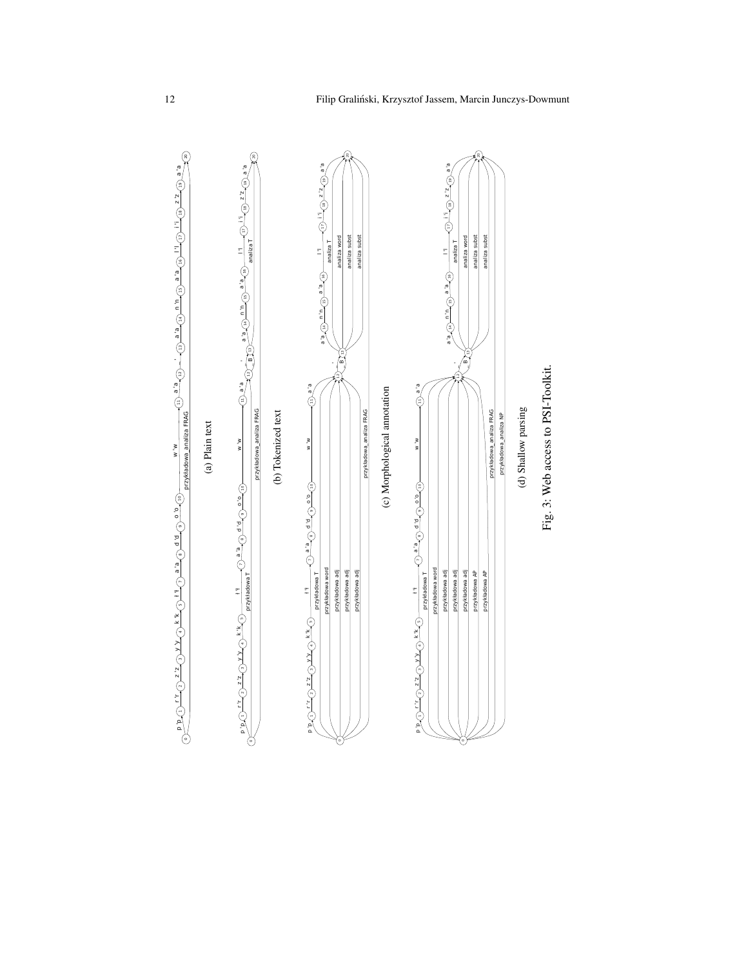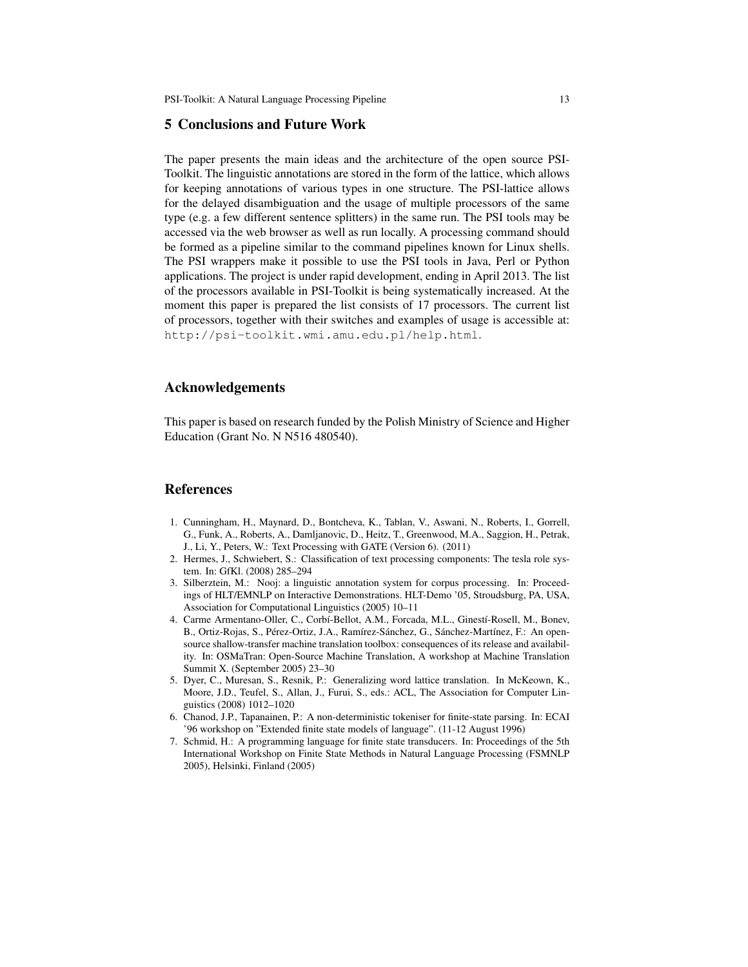#### 5 Conclusions and Future Work

The paper presents the main ideas and the architecture of the open source PSI-Toolkit. The linguistic annotations are stored in the form of the lattice, which allows for keeping annotations of various types in one structure. The PSI-lattice allows for the delayed disambiguation and the usage of multiple processors of the same type (e.g. a few different sentence splitters) in the same run. The PSI tools may be accessed via the web browser as well as run locally. A processing command should be formed as a pipeline similar to the command pipelines known for Linux shells. The PSI wrappers make it possible to use the PSI tools in Java, Perl or Python applications. The project is under rapid development, ending in April 2013. The list of the processors available in PSI-Toolkit is being systematically increased. At the moment this paper is prepared the list consists of 17 processors. The current list of processors, together with their switches and examples of usage is accessible at: http://psi-toolkit.wmi.amu.edu.pl/help.html.

## Acknowledgements

This paper is based on research funded by the Polish Ministry of Science and Higher Education (Grant No. N N516 480540).

## References

- 1. Cunningham, H., Maynard, D., Bontcheva, K., Tablan, V., Aswani, N., Roberts, I., Gorrell, G., Funk, A., Roberts, A., Damljanovic, D., Heitz, T., Greenwood, M.A., Saggion, H., Petrak, J., Li, Y., Peters, W.: Text Processing with GATE (Version 6). (2011)
- 2. Hermes, J., Schwiebert, S.: Classification of text processing components: The tesla role system. In: GfKl. (2008) 285–294
- 3. Silberztein, M.: Nooj: a linguistic annotation system for corpus processing. In: Proceedings of HLT/EMNLP on Interactive Demonstrations. HLT-Demo '05, Stroudsburg, PA, USA, Association for Computational Linguistics (2005) 10–11
- 4. Carme Armentano-Oller, C., Corbí-Bellot, A.M., Forcada, M.L., Ginestí-Rosell, M., Bonev, B., Ortiz-Rojas, S., Pérez-Ortiz, J.A., Ramírez-Sánchez, G., Sánchez-Martínez, F.: An opensource shallow-transfer machine translation toolbox: consequences of its release and availability. In: OSMaTran: Open-Source Machine Translation, A workshop at Machine Translation Summit X. (September 2005) 23–30
- 5. Dyer, C., Muresan, S., Resnik, P.: Generalizing word lattice translation. In McKeown, K., Moore, J.D., Teufel, S., Allan, J., Furui, S., eds.: ACL, The Association for Computer Linguistics (2008) 1012–1020
- 6. Chanod, J.P., Tapanainen, P.: A non-deterministic tokeniser for finite-state parsing. In: ECAI '96 workshop on "Extended finite state models of language". (11-12 August 1996)
- 7. Schmid, H.: A programming language for finite state transducers. In: Proceedings of the 5th International Workshop on Finite State Methods in Natural Language Processing (FSMNLP 2005), Helsinki, Finland (2005)